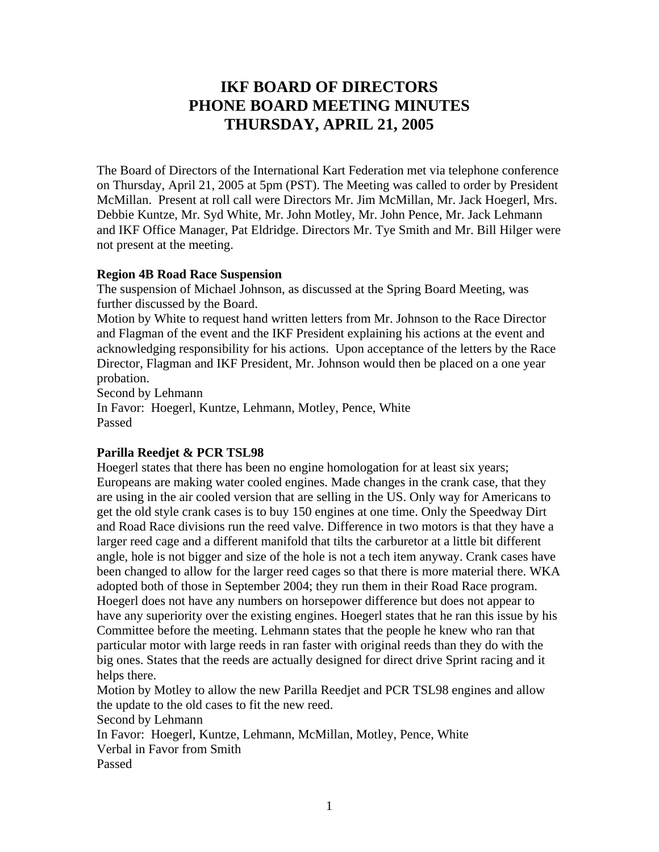# **IKF BOARD OF DIRECTORS PHONE BOARD MEETING MINUTES THURSDAY, APRIL 21, 2005**

The Board of Directors of the International Kart Federation met via telephone conference on Thursday, April 21, 2005 at 5pm (PST). The Meeting was called to order by President McMillan. Present at roll call were Directors Mr. Jim McMillan, Mr. Jack Hoegerl, Mrs. Debbie Kuntze, Mr. Syd White, Mr. John Motley, Mr. John Pence, Mr. Jack Lehmann and IKF Office Manager, Pat Eldridge. Directors Mr. Tye Smith and Mr. Bill Hilger were not present at the meeting.

#### **Region 4B Road Race Suspension**

The suspension of Michael Johnson, as discussed at the Spring Board Meeting, was further discussed by the Board.

Motion by White to request hand written letters from Mr. Johnson to the Race Director and Flagman of the event and the IKF President explaining his actions at the event and acknowledging responsibility for his actions. Upon acceptance of the letters by the Race Director, Flagman and IKF President, Mr. Johnson would then be placed on a one year probation.

Second by Lehmann

In Favor: Hoegerl, Kuntze, Lehmann, Motley, Pence, White Passed

## **Parilla Reedjet & PCR TSL98**

Hoegerl states that there has been no engine homologation for at least six years; Europeans are making water cooled engines. Made changes in the crank case, that they are using in the air cooled version that are selling in the US. Only way for Americans to get the old style crank cases is to buy 150 engines at one time. Only the Speedway Dirt and Road Race divisions run the reed valve. Difference in two motors is that they have a larger reed cage and a different manifold that tilts the carburetor at a little bit different angle, hole is not bigger and size of the hole is not a tech item anyway. Crank cases have been changed to allow for the larger reed cages so that there is more material there. WKA adopted both of those in September 2004; they run them in their Road Race program. Hoegerl does not have any numbers on horsepower difference but does not appear to have any superiority over the existing engines. Hoegerl states that he ran this issue by his Committee before the meeting. Lehmann states that the people he knew who ran that particular motor with large reeds in ran faster with original reeds than they do with the big ones. States that the reeds are actually designed for direct drive Sprint racing and it helps there.

Motion by Motley to allow the new Parilla Reedjet and PCR TSL98 engines and allow the update to the old cases to fit the new reed.

Second by Lehmann

In Favor: Hoegerl, Kuntze, Lehmann, McMillan, Motley, Pence, White

Verbal in Favor from Smith

Passed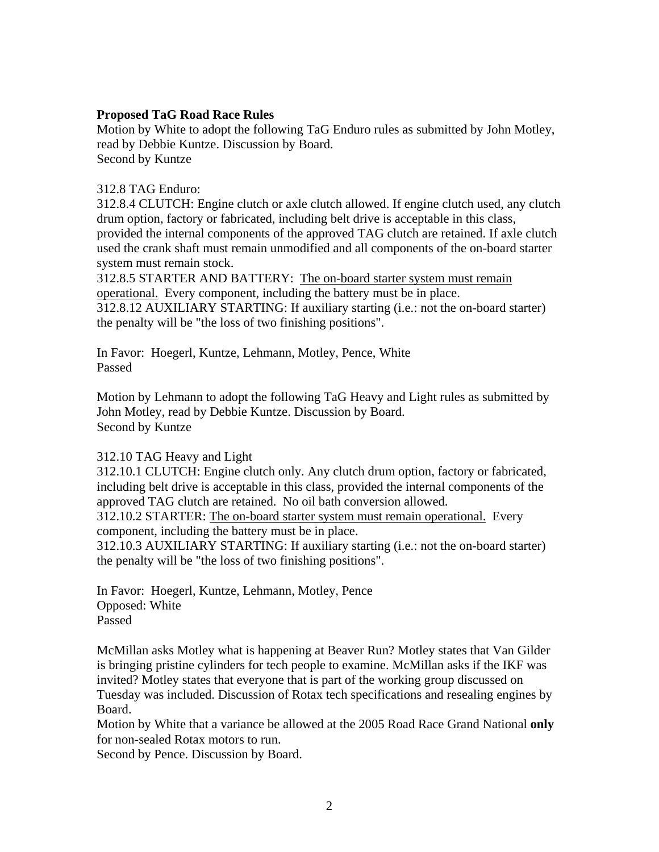#### **Proposed TaG Road Race Rules**

Motion by White to adopt the following TaG Enduro rules as submitted by John Motley, read by Debbie Kuntze. Discussion by Board. Second by Kuntze

### 312.8 TAG Enduro:

312.8.4 CLUTCH: Engine clutch or axle clutch allowed. If engine clutch used, any clutch drum option, factory or fabricated, including belt drive is acceptable in this class, provided the internal components of the approved TAG clutch are retained. If axle clutch used the crank shaft must remain unmodified and all components of the on-board starter system must remain stock.

312.8.5 STARTER AND BATTERY: The on-board starter system must remain operational. Every component, including the battery must be in place.

312.8.12 AUXILIARY STARTING: If auxiliary starting (i.e.: not the on-board starter) the penalty will be "the loss of two finishing positions".

In Favor: Hoegerl, Kuntze, Lehmann, Motley, Pence, White Passed

Motion by Lehmann to adopt the following TaG Heavy and Light rules as submitted by John Motley, read by Debbie Kuntze. Discussion by Board. Second by Kuntze

## 312.10 TAG Heavy and Light

312.10.1 CLUTCH: Engine clutch only. Any clutch drum option, factory or fabricated, including belt drive is acceptable in this class, provided the internal components of the approved TAG clutch are retained. No oil bath conversion allowed.

312.10.2 STARTER: The on-board starter system must remain operational. Every component, including the battery must be in place.

312.10.3 AUXILIARY STARTING: If auxiliary starting (i.e.: not the on-board starter) the penalty will be "the loss of two finishing positions".

In Favor: Hoegerl, Kuntze, Lehmann, Motley, Pence Opposed: White Passed

McMillan asks Motley what is happening at Beaver Run? Motley states that Van Gilder is bringing pristine cylinders for tech people to examine. McMillan asks if the IKF was invited? Motley states that everyone that is part of the working group discussed on Tuesday was included. Discussion of Rotax tech specifications and resealing engines by Board.

Motion by White that a variance be allowed at the 2005 Road Race Grand National **only** for non-sealed Rotax motors to run.

Second by Pence. Discussion by Board.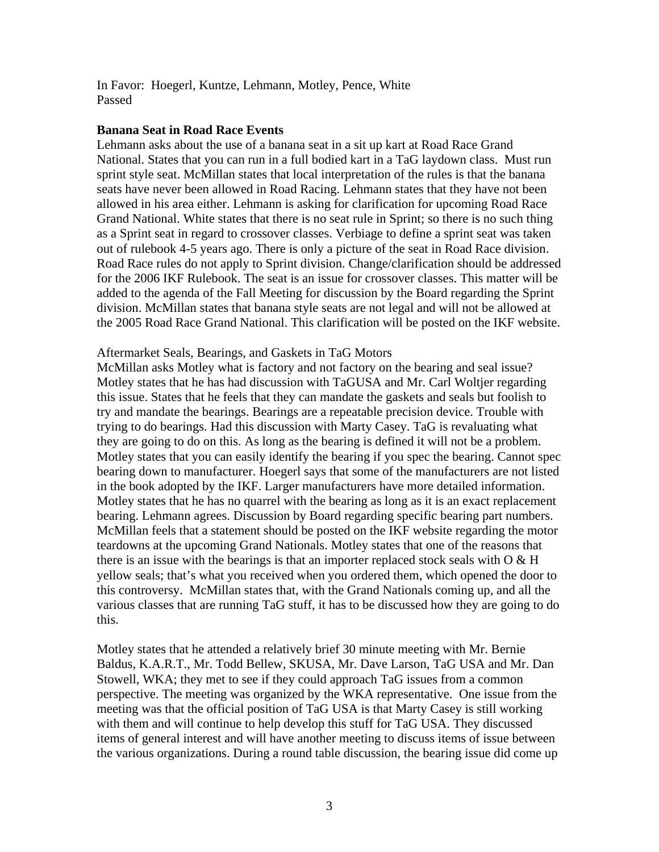In Favor: Hoegerl, Kuntze, Lehmann, Motley, Pence, White Passed

#### **Banana Seat in Road Race Events**

Lehmann asks about the use of a banana seat in a sit up kart at Road Race Grand National. States that you can run in a full bodied kart in a TaG laydown class. Must run sprint style seat. McMillan states that local interpretation of the rules is that the banana seats have never been allowed in Road Racing. Lehmann states that they have not been allowed in his area either. Lehmann is asking for clarification for upcoming Road Race Grand National. White states that there is no seat rule in Sprint; so there is no such thing as a Sprint seat in regard to crossover classes. Verbiage to define a sprint seat was taken out of rulebook 4-5 years ago. There is only a picture of the seat in Road Race division. Road Race rules do not apply to Sprint division. Change/clarification should be addressed for the 2006 IKF Rulebook. The seat is an issue for crossover classes. This matter will be added to the agenda of the Fall Meeting for discussion by the Board regarding the Sprint division. McMillan states that banana style seats are not legal and will not be allowed at the 2005 Road Race Grand National. This clarification will be posted on the IKF website.

#### Aftermarket Seals, Bearings, and Gaskets in TaG Motors

McMillan asks Motley what is factory and not factory on the bearing and seal issue? Motley states that he has had discussion with TaGUSA and Mr. Carl Woltjer regarding this issue. States that he feels that they can mandate the gaskets and seals but foolish to try and mandate the bearings. Bearings are a repeatable precision device. Trouble with trying to do bearings. Had this discussion with Marty Casey. TaG is revaluating what they are going to do on this. As long as the bearing is defined it will not be a problem. Motley states that you can easily identify the bearing if you spec the bearing. Cannot spec bearing down to manufacturer. Hoegerl says that some of the manufacturers are not listed in the book adopted by the IKF. Larger manufacturers have more detailed information. Motley states that he has no quarrel with the bearing as long as it is an exact replacement bearing. Lehmann agrees. Discussion by Board regarding specific bearing part numbers. McMillan feels that a statement should be posted on the IKF website regarding the motor teardowns at the upcoming Grand Nationals. Motley states that one of the reasons that there is an issue with the bearings is that an importer replaced stock seals with  $\overline{O} \& H$ yellow seals; that's what you received when you ordered them, which opened the door to this controversy. McMillan states that, with the Grand Nationals coming up, and all the various classes that are running TaG stuff, it has to be discussed how they are going to do this.

Motley states that he attended a relatively brief 30 minute meeting with Mr. Bernie Baldus, K.A.R.T., Mr. Todd Bellew, SKUSA, Mr. Dave Larson, TaG USA and Mr. Dan Stowell, WKA; they met to see if they could approach TaG issues from a common perspective. The meeting was organized by the WKA representative. One issue from the meeting was that the official position of TaG USA is that Marty Casey is still working with them and will continue to help develop this stuff for TaG USA. They discussed items of general interest and will have another meeting to discuss items of issue between the various organizations. During a round table discussion, the bearing issue did come up